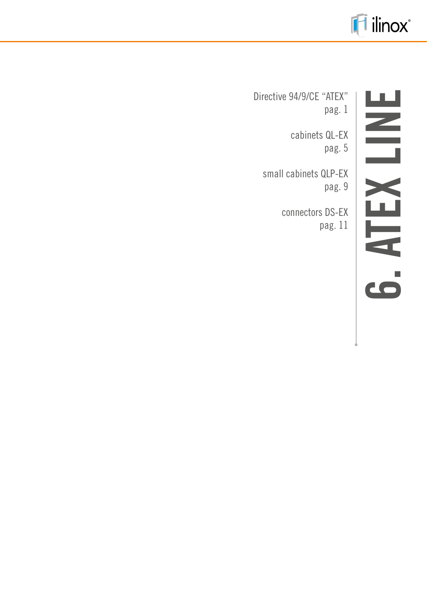

Directive 94/9/CE "ATEX" pag. 1

cabinets QL-EX pag. 5

small cabinets QLP-EX pag. 9

> connectors DS-EX pag. 11

# **6. ATEX LINE**  $\mathbf{m}$ ATEX I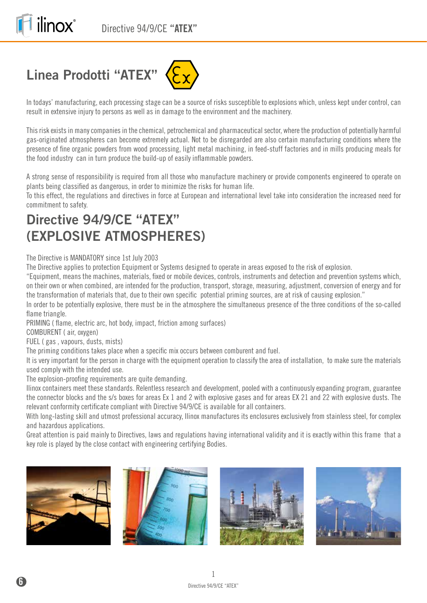# **Linea Prodotti "ATEX"**

ilinox®



In todays' manufacturing, each processing stage can be a source of risks susceptible to explosions which, unless kept under control, can result in extensive injury to persons as well as in damage to the environment and the machinery.

This risk exists in many companies in the chemical, petrochemical and pharmaceutical sector, where the production of potentially harmful gas-originated atmospheres can become extremely actual. Not to be disregarded are also certain manufacturing conditions where the presence of fine organic powders from wood processing, light metal machining, in feed-stuff factories and in mills producing meals for the food industry can in turn produce the build-up of easily inflammable powders.

A strong sense of responsibility is required from all those who manufacture machinery or provide components engineered to operate on plants being classified as dangerous, in order to minimize the risks for human life.

To this effect, the regulations and directives in force at European and international level take into consideration the increased need for commitment to safety.

# **Directive 94/9/CE "ATEX" (EXPLOSIVE ATMOSPHERES)**

#### The Directive is MANDATORY since 1st July 2003

The Directive applies to protection Equipment or Systems designed to operate in areas exposed to the risk of explosion.

"Equipment, means the machines, materials, fixed or mobile devices, controls, instruments and detection and prevention systems which, on their own or when combined, are intended for the production, transport, storage, measuring, adjustment, conversion of energy and for the transformation of materials that, due to their own specific potential priming sources, are at risk of causing explosion."

In order to be potentially explosive, there must be in the atmosphere the simultaneous presence of the three conditions of the so-called flame triangle.

PRIMING ( flame, electric arc, hot body, impact, friction among surfaces)

COMBURENT ( air, oxygen)

FUEL ( gas , vapours, dusts, mists)

The priming conditions takes place when a specific mix occurs between comburent and fuel.

It is very important for the person in charge with the equipment operation to classify the area of installation, to make sure the materials used comply with the intended use.

The explosion-proofing requirements are quite demanding.

Ilinox containers meet these standards. Relentless research and development, pooled with a continuously expanding program, guarantee the connector blocks and the s/s boxes for areas Ex 1 and 2 with explosive gases and for areas EX 21 and 22 with explosive dusts. The relevant conformity certificate compliant with Directive 94/9/CE is available for all containers.

With long-lasting skill and utmost professional accuracy, Ilinox manufactures its enclosures exclusively from stainless steel, for complex and hazardous applications.

Great attention is paid mainly to Directives, laws and regulations having international validity and it is exactly within this frame that a key role is played by the close contact with engineering certifying Bodies.







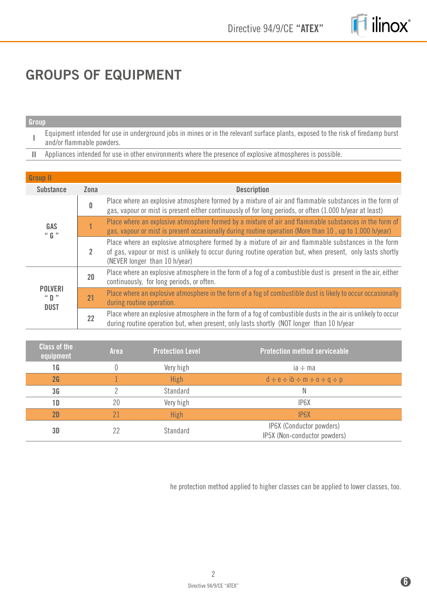

# **GROUPS OF EQUIPMENT**

#### **Group**

**I** Equipment intended for use in underground jobs in mines or in the relevant surface plants, exposed to the risk of firedamp burst and/or flammable powders.

**II** Appliances intended for use in other environments where the presence of explosive atmospheres is possible.

| <b>Group II</b>                          |                |                                                                                                                                                                                                                                                    |
|------------------------------------------|----------------|----------------------------------------------------------------------------------------------------------------------------------------------------------------------------------------------------------------------------------------------------|
| <b>Substance</b>                         | Zona           | <b>Description</b>                                                                                                                                                                                                                                 |
| GAS<br>$``$ G $"$                        | 0              | Place where an explosive atmosphere formed by a mixture of air and flammable substances in the form of<br>gas, vapour or mist is present either continuously of for long periods, or often (1.000 h/year at least)                                 |
|                                          |                | Place where an explosive atmosphere formed by a mixture of air and flammable substances in the form of<br>gas, vapour or mist is present occasionally during routine operation (More than 10, up to 1.000 h/year)                                  |
|                                          | $\overline{2}$ | Place where an explosive atmosphere formed by a mixture of air and flammable substances in the form<br>of gas, vapour or mist is unlikely to occur during routine operation but, when present, only lasts shortly<br>(NEVER longer than 10 h/year) |
| <b>POLVERI</b><br>" $D$ "<br><b>DUST</b> | 20             | Place where an explosive atmosphere in the form of a fog of a combustible dust is present in the air, either<br>continuously, for long periods, or often.                                                                                          |
|                                          | 21             | Place where an explosive atmosphere in the form of a fog of combustible dust is likely to occur occasionally<br>during routine operation.                                                                                                          |
|                                          | 22             | Place where an explosive atmosphere in the form of a fog of combustible dusts in the air is unlikely to occur<br>during routine operation but, when present, only lasts shortly (NOT longer than 10 h/year                                         |

| <b>Class of the</b><br>equipment | <b>Area</b> | <b>Protection Level</b> | <b>Protection method serviceable</b>                     |
|----------------------------------|-------------|-------------------------|----------------------------------------------------------|
| 1 G                              |             | Very high               | ia $\div$ ma                                             |
| 2G                               |             | High                    | $d \div e \div ib \div m \div o \div q \div p$           |
| 3 <sub>G</sub>                   |             | Standard                | Ν                                                        |
| 1 D                              | 20          | Very high               | IP6X                                                     |
| 2D                               |             | High                    | IP <sub>6</sub> X                                        |
| 3D                               | 22          | Standard                | IP6X (Conductor powders)<br>IP5X (Non-conductor powders) |

he protection method applied to higher classes can be applied to lower classes, too.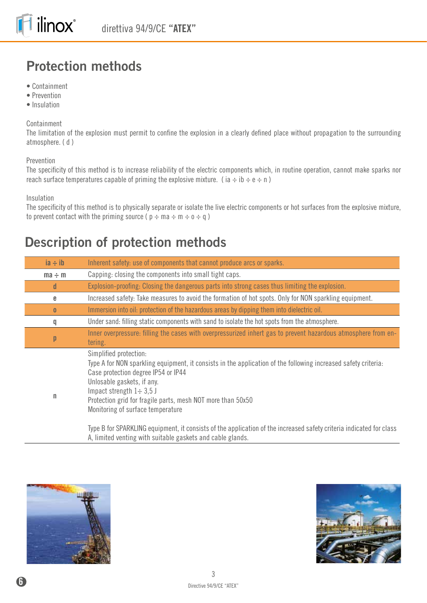# **Protection methods**

- Containment
- Prevention
- Insulation

#### Containment

The limitation of the explosion must permit to confine the explosion in a clearly defined place without propagation to the surrounding atmosphere. ( d )

#### Prevention

The specificity of this method is to increase reliability of the electric components which, in routine operation, cannot make sparks nor reach surface temperatures capable of priming the explosive mixture. (ia  $\div$  ib  $\div$  e  $\div$  n)

Insulation

The specificity of this method is to physically separate or isolate the live electric components or hot surfaces from the explosive mixture, to prevent contact with the priming source ( $p \div ma \div m \div o \div q$ )

## **Description of protection methods**

| $ia \div ib$ | Inherent safety: use of components that cannot produce arcs or sparks.                                                                                                                                                                                                                                                                                                                                                                                                                                                                   |
|--------------|------------------------------------------------------------------------------------------------------------------------------------------------------------------------------------------------------------------------------------------------------------------------------------------------------------------------------------------------------------------------------------------------------------------------------------------------------------------------------------------------------------------------------------------|
| $ma \div m$  | Capping: closing the components into small tight caps.                                                                                                                                                                                                                                                                                                                                                                                                                                                                                   |
| d            | Explosion-proofing: Closing the dangerous parts into strong cases thus limiting the explosion.                                                                                                                                                                                                                                                                                                                                                                                                                                           |
| e            | Increased safety: Take measures to avoid the formation of hot spots. Only for NON sparkling equipment.                                                                                                                                                                                                                                                                                                                                                                                                                                   |
| $\bf{0}$     | Immersion into oil: protection of the hazardous areas by dipping them into dielectric oil.                                                                                                                                                                                                                                                                                                                                                                                                                                               |
| q            | Under sand: filling static components with sand to isolate the hot spots from the atmosphere.                                                                                                                                                                                                                                                                                                                                                                                                                                            |
| p            | Inner overpressure: filling the cases with overpressurized inhert gas to prevent hazardous atmosphere from en-<br>tering.                                                                                                                                                                                                                                                                                                                                                                                                                |
| n            | Simplified protection:<br>Type A for NON sparkling equipment, it consists in the application of the following increased safety criteria.<br>Case protection degree IP54 or IP44<br>Unlosable gaskets, if any.<br>Impact strength $1 \div 3.5$ J<br>Protection grid for fragile parts, mesh NOT more than 50x50<br>Monitoring of surface temperature<br>Type B for SPARKLING equipment, it consists of the application of the increased safety criteria indicated for class<br>A, limited venting with suitable gaskets and cable glands. |



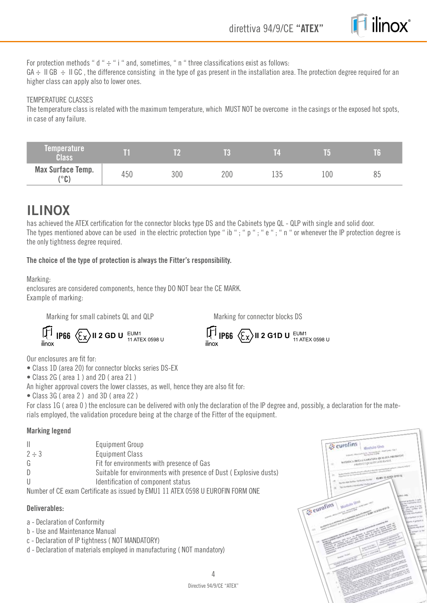

For protection methods " d "  $\div$  " i " and, sometimes, " n " three classifications exist as follows:

 $GA \div \parallel GB \div \parallel GC$ , the difference consisting in the type of gas present in the installation area. The protection degree required for an higher class can apply also to lower ones.

#### TEMPERATURE CLASSES

The temperature class is related with the maximum temperature, which MUST NOT be overcome in the casings or the exposed hot spots, in case of any failure.

| Temperature<br><b>Class</b>               |     |     | 1k  | Ľ   |     | T6 |
|-------------------------------------------|-----|-----|-----|-----|-----|----|
| <b>Max Surface Temp.</b><br>ر ما ر)<br>L» | 450 | 300 | 200 | 135 | 100 | 85 |

## **ILINOX**

has achieved the ATEX certification for the connector blocks type DS and the Cabinets type QL - QLP with single and solid door. The types mentioned above can be used in the electric protection type " ib "; " p "; " e "; " n " or whenever the IP protection degree is the only tightness degree required.

#### **The choice of the type of protection is always the Fitter's responsibility.**

Marking:

enclosures are considered components, hence they DO NOT bear the CE MARK. Example of marking:

Marking for small cabinets QL and QLP

Marking for connector blocks DS

 $\left[\overline{1}\right]$  **IP66**  $\left\langle \xi_{\text{X}}\right\rangle$  **II 2 GD U**  $\frac{\text{EUM1}}{11 \text{ ATEX 0598 L}}$ 

11 ATEX 0598 U **IP66 II 2 G1D U** EUM1 11 ATEX 0598 U

Our enclosures are fit for:

- Class 1D (area 20) for connector blocks series DS-EX
- Class 2G ( area 1 ) and 2D ( area 21 )
- An higher approval covers the lower classes, as well, hence they are also fit for:
- Class 3G ( area 2 ) and 3D ( area 22 )

For class 1G ( area 0 ) the enclosure can be delivered with only the declaration of the IP degree and, possibly, a declaration for the materials employed, the validation procedure being at the charge of the Fitter of the equipment.

#### **Marking legend**

| Ш.         | Equipment Group                                                                 |
|------------|---------------------------------------------------------------------------------|
| $2 \div 3$ | <b>Equipment Class</b>                                                          |
| G          | Fit for environments with presence of Gas                                       |
| D.         | Suitable for environments with presence of Dust (Explosive dusts)               |
| U          | Identification of component status                                              |
|            | Number of CE exam Certificate as issued by EMU1 11 ATEX 0598 U EUROFIN FORM ONE |

#### **Deliverables:**

- a Declaration of Conformity
- b Use and Maintenance Manual
- c Declaration of IP tightness ( NOT MANDATORY)
- d Declaration of materials employed in manufacturing ( NOT mandatory)

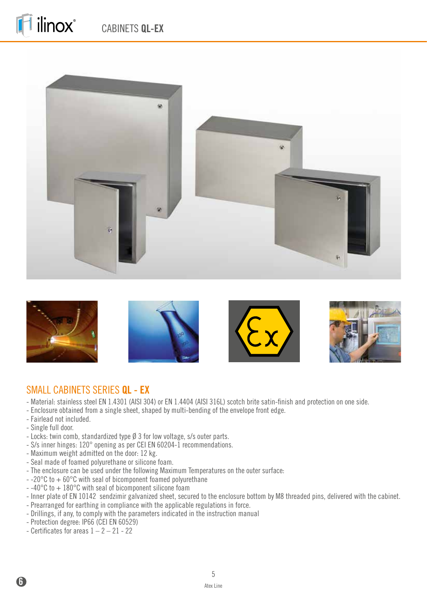ilinox®





## SMALL CABINETS SERIES **QL - EX**

- Material: stainless steel EN 1.4301 (AISI 304) or EN 1.4404 (AISI 316L) scotch brite satin-finish and protection on one side.
- Enclosure obtained from a single sheet, shaped by multi-bending of the envelope front edge.
- Fairlead not included.
- Single full door.

**6**

- Locks: twin comb, standardized type Ø 3 for low voltage, s/s outer parts.
- S/s inner hinges: 120° opening as per CEI EN 60204-1 recommendations.
- Maximum weight admitted on the door: 12 kg.
- Seal made of foamed polyurethane or silicone foam.
- The enclosure can be used under the following Maximum Temperatures on the outer surface:
- $-20^{\circ}$ C to  $+60^{\circ}$ C with seal of bicomponent foamed polyurethane
- -40°C to + 180°C with seal of bicomponent silicone foam
- Inner plate of EN 10142 sendzimir galvanized sheet, secured to the enclosure bottom by M8 threaded pins, delivered with the cabinet.
- Prearranged for earthing in compliance with the applicable regulations in force.
- Drillings, if any, to comply with the parameters indicated in the instruction manual
- Protection degree: IP66 (CEI EN 60529)
- Certificates for areas  $1 2 21 22$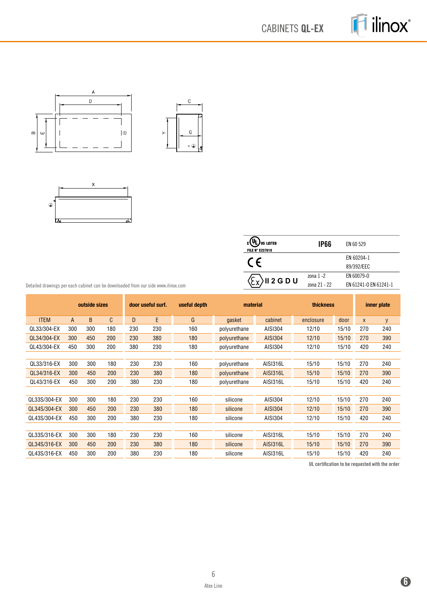CABINETS **QL-EX**

ilinox®







| <b>US LISTED</b><br><b>FILE N° E237618</b> | <b>IP66</b>  | EN 60 529             |
|--------------------------------------------|--------------|-----------------------|
|                                            |              | EN 60204-1            |
|                                            |              | 89/392/EEC            |
| <b>)</b> II 2 G D U                        | zona $1 - 2$ | EN 60079-0            |
|                                            | zona 21 - 22 | EN 61241-0 EN 61241-1 |

Detailed drawings per each cabinet can be downloaded from our side www.ilinox.com

|              | outside sizes |     | door useful surf. |     | useful depth | material |              | <b>thickness</b> |           | inner plate |     |     |
|--------------|---------------|-----|-------------------|-----|--------------|----------|--------------|------------------|-----------|-------------|-----|-----|
| <b>ITEM</b>  | A             | B.  | C                 | D   | E            | G        | gasket       | cabinet          | enclosure | door        | X   | y   |
| QL33/304-EX  | 300           | 300 | 180               | 230 | 230          | 160      | polyurethane | AISI304          | 12/10     | 15/10       | 270 | 240 |
| QL34/304-EX  | 300           | 450 | 200               | 230 | 380          | 180      | polyurethane | <b>AISI304</b>   | 12/10     | 15/10       | 270 | 390 |
| QL43/304-EX  | 450           | 300 | 200               | 380 | 230          | 180      | polyurethane | AISI304          | 12/10     | 15/10       | 420 | 240 |
|              |               |     |                   |     |              |          |              |                  |           |             |     |     |
| QL33/316-EX  | 300           | 300 | 180               | 230 | 230          | 160      | polyurethane | AISI316L         | 15/10     | 15/10       | 270 | 240 |
| QL34/316-EX  | 300           | 450 | 200               | 230 | 380          | 180      | polyurethane | <b>AISI316L</b>  | 15/10     | 15/10       | 270 | 390 |
| QL43/316-EX  | 450           | 300 | 200               | 380 | 230          | 180      | polyurethane | <b>AISI316L</b>  | 15/10     | 15/10       | 420 | 240 |
|              |               |     |                   |     |              |          |              |                  |           |             |     |     |
| QL33S/304-EX | 300           | 300 | 180               | 230 | 230          | 160      | silicone     | AISI304          | 12/10     | 15/10       | 270 | 240 |
| QL34S/304-EX | 300           | 450 | 200               | 230 | 380          | 180      | silicone     | <b>AISI304</b>   | 12/10     | 15/10       | 270 | 390 |
| QL43S/304-EX | 450           | 300 | 200               | 380 | 230          | 180      | silicone     | AISI304          | 12/10     | 15/10       | 420 | 240 |
|              |               |     |                   |     |              |          |              |                  |           |             |     |     |
| QL33S/316-EX | 300           | 300 | 180               | 230 | 230          | 160      | silicone     | AISI316L         | 15/10     | 15/10       | 270 | 240 |
| QL34S/316-EX | 300           | 450 | 200               | 230 | 380          | 180      | silicone     | <b>AISI316L</b>  | 15/10     | 15/10       | 270 | 390 |
| QL43S/316-EX | 450           | 300 | 200               | 380 | 230          | 180      | silicone     | AISI316L         | 15/10     | 15/10       | 420 | 240 |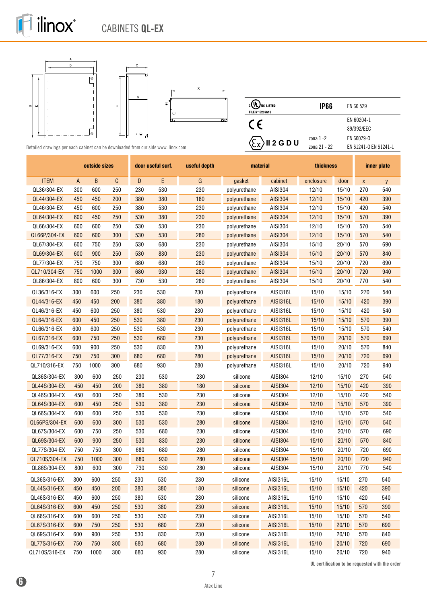

ilinox®

 $\mathbf i$ 





| US LISTED<br><b>FILE N° E237618</b>           | IP66         | EN 60 529             |
|-----------------------------------------------|--------------|-----------------------|
|                                               |              | EN 60204-1            |
|                                               |              | 89/392/EEC            |
| $\langle \xi_{\mathsf{X}} \rangle$ II 2 G D U | zona $1 - 2$ | EN 60079-0            |
|                                               | zona 21 - 22 | EN 61241-0 EN 61241-1 |

Detailed drawings per each cabinet can be downloaded from our side www.ilinox.com

|               |     | outside sizes |     |     | door useful surf. | useful depth | material     |                 | thickness |       |                    | inner plate |
|---------------|-----|---------------|-----|-----|-------------------|--------------|--------------|-----------------|-----------|-------|--------------------|-------------|
| <b>ITEM</b>   | А   | B             | C   | D   | E                 | G            | gasket       | cabinet         | enclosure | door  | $\pmb{\mathsf{X}}$ | y           |
| QL36/304-EX   | 300 | 600           | 250 | 230 | 530               | 230          | polyurethane | AISI304         | 12/10     | 15/10 | 270                | 540         |
| QL44/304-EX   | 450 | 450           | 200 | 380 | 380               | 180          | polyurethane | <b>AISI304</b>  | 12/10     | 15/10 | 420                | 390         |
| QL46/304-EX   | 450 | 600           | 250 | 380 | 530               | 230          | polyurethane | AISI304         | 12/10     | 15/10 | 420                | 540         |
| QL64/304-EX   | 600 | 450           | 250 | 530 | 380               | 230          | polyurethane | <b>AISI304</b>  | 12/10     | 15/10 | 570                | 390         |
| QL66/304-EX   | 600 | 600           | 250 | 530 | 530               | 230          | polyurethane | AISI304         | 12/10     | 15/10 | 570                | 540         |
| QL66P/304-EX  | 600 | 600           | 300 | 530 | 530               | 280          | polyurethane | <b>AISI304</b>  | 12/10     | 15/10 | 570                | 540         |
| QL67/304-EX   | 600 | 750           | 250 | 530 | 680               | 230          | polyurethane | AISI304         | 15/10     | 20/10 | 570                | 690         |
| QL69/304-EX   | 600 | 900           | 250 | 530 | 830               | 230          | polyurethane | <b>AISI304</b>  | 15/10     | 20/10 | 570                | 840         |
| QL77/304-EX   | 750 | 750           | 300 | 680 | 680               | 280          | polyurethane | AISI304         | 15/10     | 20/10 | 720                | 690         |
| QL710/304-EX  | 750 | 1000          | 300 | 680 | 930               | 280          | polyurethane | <b>AISI304</b>  | 15/10     | 20/10 | 720                | 940         |
| QL86/304-EX   | 800 | 600           | 300 | 730 | 530               | 280          | polyurethane | AISI304         | 15/10     | 20/10 | 770                | 540         |
| QL36/316-EX   | 300 | 600           | 250 | 230 | 530               | 230          | polyurethane | AISI316L        | 15/10     | 15/10 | 270                | 540         |
| QL44/316-EX   | 450 | 450           | 200 | 380 | 380               | 180          | polyurethane | <b>AISI316L</b> | 15/10     | 15/10 | 420                | 390         |
| QL46/316-EX   | 450 | 600           | 250 | 380 | 530               | 230          | polyurethane | AISI316L        | 15/10     | 15/10 | 420                | 540         |
| QL64/316-EX   | 600 | 450           | 250 | 530 | 380               | 230          | polyurethane | <b>AISI316L</b> | 15/10     | 15/10 | 570                | 390         |
| QL66/316-EX   | 600 | 600           | 250 | 530 | 530               | 230          | polyurethane | AISI316L        | 15/10     | 15/10 | 570                | 540         |
| QL67/316-EX   | 600 | 750           | 250 | 530 | 680               | 230          | polyurethane | <b>AISI316L</b> | 15/10     | 20/10 | 570                | 690         |
| QL69/316-EX   | 600 | 900           | 250 | 530 | 830               | 230          | polyurethane | AISI316L        | 15/10     | 20/10 | 570                | 840         |
| QL77/316-EX   | 750 | 750           | 300 | 680 | 680               | 280          | polyurethane | <b>AISI316L</b> | 15/10     | 20/10 | 720                | 690         |
| QL710/316-EX  | 750 | 1000          | 300 | 680 | 930               | 280          | polyurethane | AISI316L        | 15/10     | 20/10 | 720                | 940         |
| QL36S/304-EX  | 300 | 600           | 250 | 230 | 530               | 230          | silicone     | AISI304         | 12/10     | 15/10 | 270                | 540         |
| QL44S/304-EX  | 450 | 450           | 200 | 380 | 380               | 180          | silicone     | <b>AISI304</b>  | 12/10     | 15/10 | 420                | 390         |
| QL46S/304-EX  | 450 | 600           | 250 | 380 | 530               | 230          | silicone     | AISI304         | 12/10     | 15/10 | 420                | 540         |
| QL64S/304-EX  | 600 | 450           | 250 | 530 | 380               | 230          | silicone     | <b>AISI304</b>  | 12/10     | 15/10 | 570                | 390         |
| QL66S/304-EX  | 600 | 600           | 250 | 530 | 530               | 230          | silicone     | AISI304         | 12/10     | 15/10 | 570                | 540         |
| QL66PS/304-EX | 600 | 600           | 300 | 530 | 530               | 280          | silicone     | <b>AISI304</b>  | 12/10     | 15/10 | 570                | 540         |
| QL67S/304-EX  | 600 | 750           | 250 | 530 | 680               | 230          | silicone     | AISI304         | 15/10     | 20/10 | 570                | 690         |
| QL69S/304-EX  | 600 | 900           | 250 | 530 | 830               | 230          | silicone     | <b>AISI304</b>  | 15/10     | 20/10 | 570                | 840         |
| QL77S/304-EX  | 750 | 750           | 300 | 680 | 680               | 280          | silicone     | AISI304         | 15/10     | 20/10 | 720                | 690         |
| QL710S/304-EX | 750 | 1000          | 300 | 680 | 930               | 280          | silicone     | <b>AISI304</b>  | 15/10     | 20/10 | 720                | 940         |
| QL86S/304-EX  | 800 | 600           | 300 | 730 | 530               | 280          | silicone     | AISI304         | 15/10     | 20/10 | 770                | 540         |
| QL36S/316-EX  | 300 | 600           | 250 | 230 | 530               | 230          | silicone     | AISI316L        | 15/10     | 15/10 | 270                | 540         |
| QL44S/316-EX  | 450 | 450           | 200 | 380 | 380               | 180          | silicone     | <b>AISI316L</b> | 15/10     | 15/10 | 420                | 390         |
| QL46S/316-EX  | 450 | 600           | 250 | 380 | 530               | 230          | silicone     | AISI316L        | 15/10     | 15/10 | 420                | 540         |
| QL64S/316-EX  | 600 | 450           | 250 | 530 | 380               | 230          | silicone     | <b>AISI316L</b> | 15/10     | 15/10 | 570                | 390         |
| QL66S/316-EX  | 600 | 600           | 250 | 530 | 530               | 230          | silicone     | AISI316L        | 15/10     | 15/10 | 570                | 540         |
| QL67S/316-EX  | 600 | 750           | 250 | 530 | 680               | 230          | silicone     | <b>AISI316L</b> | 15/10     | 20/10 | 570                | 690         |
| QL69S/316-EX  | 600 | 900           | 250 | 530 | 830               | 230          | silicone     | AISI316L        | 15/10     | 20/10 | 570                | 840         |
| QL77S/316-EX  | 750 | 750           | 300 | 680 | 680               | 280          | silicone     | <b>AISI316L</b> | 15/10     | 20/10 | 720                | 690         |
| QL710S/316-EX | 750 | 1000          | 300 | 680 | 930               | 280          | silicone     | AISI316L        | 15/10     | 20/10 | 720                | 940         |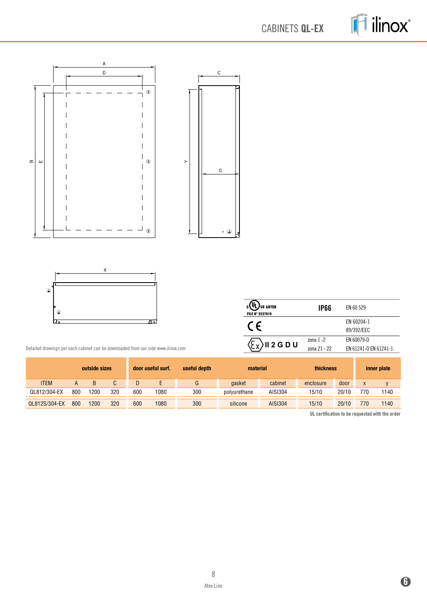CABINETS **QL-EX**

ilinox®





| <b>US LISTED</b><br><b>FILE N° E237618</b>    | <b>IP66</b>  | EN 60 529             |
|-----------------------------------------------|--------------|-----------------------|
| $\cdot$ $\epsilon$                            |              | EN 60204-1            |
|                                               |              | 89/392/EEC            |
| $\langle \xi_{\mathbf{Y}} \rangle$ ii 2 G D U | $z$ ona 1 -2 | EN 60079-0            |
|                                               | zona 21 - 22 | EN 61241-0 EN 61241-1 |
|                                               |              |                       |

Detailed drawings per each cabinet can be downloaded from our side www.ilinox.com

|               | outside sizes |      |     | door useful surf. | useful depth | material |              | thickness      | inner plate |       |     |      |
|---------------|---------------|------|-----|-------------------|--------------|----------|--------------|----------------|-------------|-------|-----|------|
| <b>ITEM</b>   |               |      |     |                   |              | G        | gasket       | cabinet        | enclosure   | door  | X   |      |
| QL812/304-EX  | 800           | 1200 | 320 | 600               | 1080         | 300      | polyurethane | AISI304        | 15/10       | 20/10 | 770 | 1140 |
| QL812S/304-EX | 800           | 1200 | 320 | 600               | 1080         | 300      | silicone     | <b>AISI304</b> | 15/10       | 20/10 | 770 | 1140 |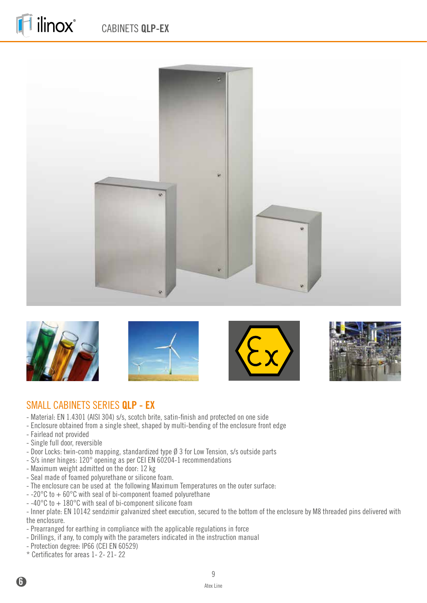



ilinox®







### SMALL CABINETS SERIES **QLP - EX**

- Material: EN 1.4301 (AISI 304) s/s, scotch brite, satin-finish and protected on one side
- Enclosure obtained from a single sheet, shaped by multi-bending of the enclosure front edge
- Fairlead not provided
- Single full door, reversible
- Door Locks: twin-comb mapping, standardized type Ø 3 for Low Tension, s/s outside parts
- S/s inner hinges: 120° opening as per CEI EN 60204-1 recommendations
- Maximum weight admitted on the door: 12 kg
- Seal made of foamed polyurethane or silicone foam.
- The enclosure can be used at the following Maximum Temperatures on the outer surface:
- -20°C to + 60°C with seal of bi-component foamed polyurethane
- $-40^{\circ}$ C to  $+180^{\circ}$ C with seal of bi-component silicone foam

- Inner plate: EN 10142 sendzimir galvanized sheet execution, secured to the bottom of the enclosure by M8 threaded pins delivered with the enclosure.

- Prearranged for earthing in compliance with the applicable regulations in force
- Drillings, if any, to comply with the parameters indicated in the instruction manual
- Protection degree: IP66 (CEI EN 60529)
- \* Certificates for areas 1- 2- 21- 22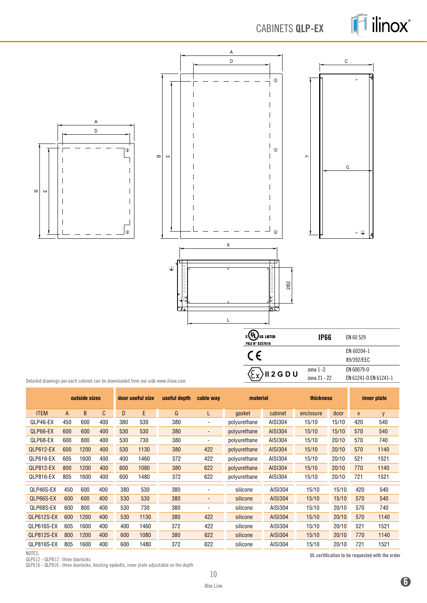## CABINETS **QLP-EX**





Detailed drawings per each cabinet can be downloaded from our side www.ilinox.com

|             | outside sizes |      |     | door useful size | useful depth | cable way | material                 |              | <b>thickness</b> |           |       | inner plate  |      |
|-------------|---------------|------|-----|------------------|--------------|-----------|--------------------------|--------------|------------------|-----------|-------|--------------|------|
| <b>ITEM</b> | A             | B.   | C   | D                | E            | G         | L                        | gasket       | cabinet          | enclosure | door  | $\mathsf{x}$ | y    |
| QLP46-EX    | 450           | 600  | 400 | 380              | 530          | 380       |                          | polyurethane | AISI304          | 15/10     | 15/10 | 420          | 540  |
| QLP66-EX    | 600           | 600  | 400 | 530              | 530          | 380       | $\overline{\phantom{a}}$ | polyurethane | <b>AISI304</b>   | 15/10     | 15/10 | 570          | 540  |
| QLP68-EX    | 600           | 800  | 400 | 530              | 730          | 380       |                          | polyurethane | AISI304          | 15/10     | 20/10 | 570          | 740  |
| QLP612-EX   | 600           | 1200 | 400 | 530              | 1130         | 380       | 422                      | polyurethane | <b>AISI304</b>   | 15/10     | 20/10 | 570          | 1140 |
| QLP616-EX   | 605           | 1600 | 400 | 400              | 1460         | 372       | 422                      | polyurethane | AISI304          | 15/10     | 20/10 | 521          | 1521 |
| QLP812-EX   | 800           | 1200 | 400 | 600              | 1080         | 380       | 622                      | polyurethane | <b>AISI304</b>   | 15/10     | 20/10 | 770          | 1140 |
| QLP816-EX   | 805           | 1600 | 400 | 600              | 1480         | 372       | 622                      | polyurethane | AISI304          | 15/10     | 20/10 | 721          | 1521 |
| QLP46S-EX   | 450           | 600  | 400 | 380              | 530          | 380       | $\blacksquare$           | silicone     | AISI304          | 15/10     | 15/10 | 420          | 540  |
| QLP66S-EX   | 600           | 600  | 400 | 530              | 530          | 380       | $\overline{\phantom{a}}$ | silicone     | <b>AISI304</b>   | 15/10     | 15/10 | 570          | 540  |
| QLP68S-EX   | 600           | 800  | 400 | 530              | 730          | 380       | ٠                        | silicone     | AISI304          | 15/10     | 20/10 | 570          | 740  |
| QLP612S-EX  | 600           | 1200 | 400 | 530              | 1130         | 380       | 422                      | silicone     | <b>AISI304</b>   | 15/10     | 20/10 | 570          | 1140 |
| QLP616S-EX  | 605           | 1600 | 400 | 400              | 1460         | 372       | 422                      | silicone     | AISI304          | 15/10     | 20/10 | 521          | 1521 |
| QLP812S-EX  | 800           | 1200 | 400 | 600              | 1080         | 380       | 622                      | silicone     | <b>AISI304</b>   | 15/10     | 20/10 | 770          | 1140 |
| QLP816S-EX  | 805           | 1600 | 400 | 600              | 1480         | 372       | 622                      | silicone     | AISI304          | 15/10     | 20/10 | 721          | 1521 |

NOTES:

QLP612 - QLP812 : three doorlocks

QLP616 - QLP816 : three doorlocks, hoisting eyebolts, inner plate adjustable on the depth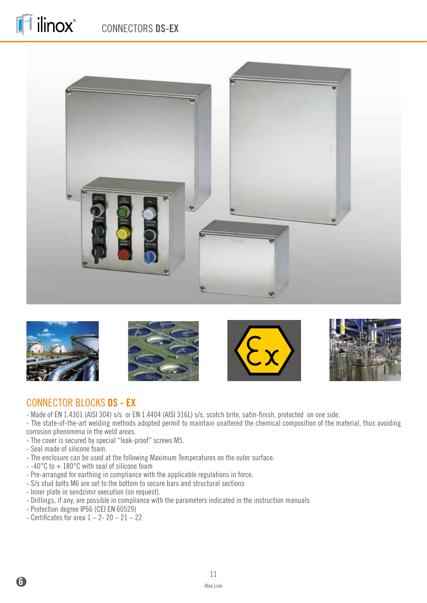## CONNECTORS **DS-EX**





ilinox®







## CONNECTOR BLOCKS **DS - EX**

- Made of EN 1.4301 (AISI 304) s/s or EN 1.4404 (AISI 316L) s/s, scotch brite, satin-finish, protected on one side.
- The state-of-the-art welding methods adopted permit to maintain unaltered the chemical composition of the material, thus avoiding corrosion phenomena in the weld areas.
- The cover is secured by special "leak-proof" screws M5.
- Seal made of silicone foam.

**6**

- The enclosure can be used at the following Maximum Temperatures on the outer surface:
- -40°C to + 180°C with seal of silicone foam
- Pre-arranged for earthing in compliance with the applicable regulations in force.
- S/s stud bolts M6 are set to the bottom to secure bars and structural sections
- Inner plate in sendzimir execution (on request).
- Drillings, if any, are possible in compliance with the parameters indicated in the instruction manuals
- Protection degree IP66 (CEI EN 60529)
- Certificates for area  $1 2 20 21 22$